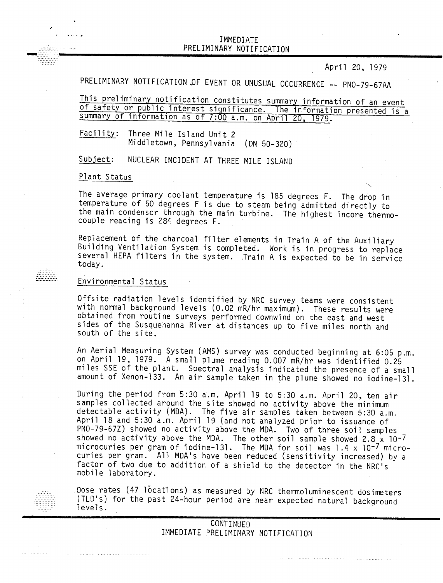## IMMEDIATE .... PRELIMINARY NOTIFICATION PRELIMINARY NOTIFICATION<br>PRELIMINARY NOTIFICATION<br>April 20, 1979

April 20, 1979

The experiment of the contract of the experiment of the property

PRELIMINARY NOTIFICATION OF EVENT OR UNUSUAL OCCURRENCE -- PNO-79-67AA

This preliminary notification constitutes summary information of an event of safety or public interest significance. The information presented is a summary of information as of 7:00 a.m. on April 20, 1979.

Facility: Three Mile Island Unit 2 Middletown, Pennsylvania (ON 50-320)

NUCLEAR INCIDENT AT THREE MILE ISLAND Subject:

Plant Status

...........

The average primary coolant temperature is 185 degrees F. The drop in temperature of 50 degrees F is due to steam being admitted directly to the main condensor through the main turbine. The highest incore thermocouple reading is 284 degrees F.

Replacement of the charcoal filter elements in Train A of the Auxiliary Building Ventilation System is completed. Work is in progress to replace several HEPA filters in the system. Train A is expected to be in service today.

## Environmental Status

Offsite radiation levels identified by NRC survey teams were consistent with normal background levels (0.02 mR/hr maximum). These results were obtained from routine surveys performed downwind on the east and west sides of the Susquehanna River at distances up to five miles north and south of the site.

An Aerial Measuring System (AMS) survey was conducted beginning at 6:05 p.m. on April 19, 1979. A small plume reading 0.007 mR/hr was identified 0.25 miles SSE of the plant. Spectral analysis indicated the presence of a small amount of Xenon-133. An air sample taken in the plume showed no iodine-131.

During the period from 5:30 a.m. April 19 to 5:30 a.m. April 20, ten air samples collected around the site showed no activity above the minimum detectable activity (MDA). The five air samples taken between 5:30 a.m. April 18 and 5:30 a.m. April 19 (and not analyzed prior to issuance of PNO-79-67Z) showed no activity above the MDA. Two of three soil samples howed no activity above the MDA. The other soil sample showed 2.8  $\times$  10-7 icrocuries per gram of iodine-131. The MDA for soil was 1.4 x  $10^{-7}$  microcuries per gram. All MDA's have been reduced (sensitivity increased) by a factor of two due to addition of a shield to the detector in the NRC's mobile laboratory.

Dose rates (47 locations) as measured by NRC thermoluminescent dosimeters (TLD's) for the past 24-hour period are near expected natural background levels.

> CONTINUED IMMEDIATE PRELIMINARY NOTIFICATION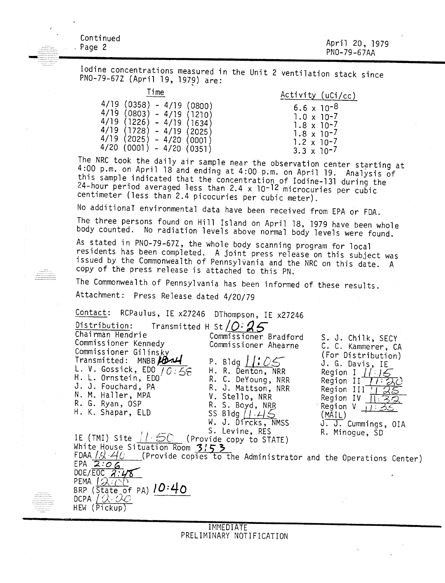| Continued | April 20, 1979 |
|-----------|----------------|
| . Page 2  | PN0-79-67AA    |
|           |                |

Iodine concentrations measured in the Unit 2 ventilation stack since PNO-79-67Z (April 19, 1979) are:

| 11 I IIIE                 | Activity (uCi/cc     |
|---------------------------|----------------------|
| 4/19 (0358) - 4/19 (0800) | $6.6 \times 10^{-8}$ |
| 4/19 (0803) - 4/19 (1210) | $1.0 \times 10^{-7}$ |
| 4/19 (1226) - 4/19 (1634) | $1.8 \times 10^{-7}$ |
| 4/19 (1728) - 4/19 (2025) | $1.8 \times 10^{-7}$ |
| 4/19 (2025) - 4/20 (0001) | $1.2 \times 10^{-7}$ |
| 4/20 (0001) - 4/20 (0351) | $3.3 \times 10^{-7}$ |

|                               | ctivity (uCi/cc) |
|-------------------------------|------------------|
| 6.6 $\times$ 10 <sup>-8</sup> |                  |
| $1.0 \times 10^{-7}$          |                  |
| $1.8 \times 10^{-7}$          |                  |
| $1.8 \times 10^{-7}$          |                  |
| $1.2 \times 10^{-7}$          |                  |
| 7 - הר v יר <del>?</del>      |                  |

The NRC took the daily air sample near the observation center starting at  $100$  p m an April 19 and at  $100$ 4:00 p.m. on April 18 and ending at 4:00 p.m. on April 19. Analysis of this sample indicated that the concentration of Iodine-131 during the 24-hour period averaged less than 2.4 x 10-12 microcuries per cubic centimeter (less than 2.4 picocuries per cubic meter).

No additionaT environmental data have been received from EPA or FDA.

The three persons found on Hill Island on April 18, 1979 have been whole body counted. No radiation levels above normal body levels were found.

As stated in PNO-79-67Z, the whole body scanning program for local residents has been completed. A joint press release on this subject was issued by the Commonwealth of Pennsylvania and the NRC on this date. A copy of the press release is attached to this PN.

The Commonwealth of Pennsylvania has been informed of these results.

Attachment: Press Release dated 4/20/79

Contact: RCPaulus, IE x27246 DThompson, IE x27246

Distribution: Transmitted H St [0:**a** *f)*

Chairman Hendrie Commissioner Bradford<br>Commissioner Kennedy Commissioner Abearne Commissioner Ahearne Commissioner Gilins<sub>ky</sub> Transmitted: MNBB **P.** P. Bldg  $1:05$ <br>L. V. Gossick, EDO  $10:55$ <br>H. R. Denton, NRR L. V. Gossick, EDO 70:56 H. L. Ornstein, EDO<sup>'</sup>  $\sim$  R. C. DeYoung, NRR J. J. Fouchard, PA R. J. Mattson, NRR<br>N. M. Haller, MPA V. Stello, NRR N. M. Haller, MPA V. Stello, NRR R. S. Boyd, NRR<br>SS Bldg /  $45$ H. K. Shapar, ELD W. J. Dircks, NMSS S. Levine, RES<br>(Provide copy to STATE) IE (TMI) Site  $/25C$ White H,ouse Situation Room **3:5">** FDAA *| A iii* (Provide copies to the Administrator and the Operations Center) EPA *2:0G*  $DE/EGC$   $2:48$  $P = P$ BRP (State of PA) *<sup>J</sup> 0·40* DCPA *I:). {),O* HEW (Pickup S. J. Chilk, SECY C. C. Kammerer, CA (For Distribution) J. G. Davis, IE  $\frac{11}{2}$ Region I //:14 Region I <u>II 75</u><br>Region II *II :* 27 Region II <u>III S</u><br>Region III II S Region IV  $\frac{1}{3}$ <br>Region IV  $\frac{1}{3}$ Region  $V \overline{+1}$ :<br>(MAIL) J. J. Cummings, OIA R. Minogue, SO

> IMMEDIATE PRELIMINARY NOTIFICATION